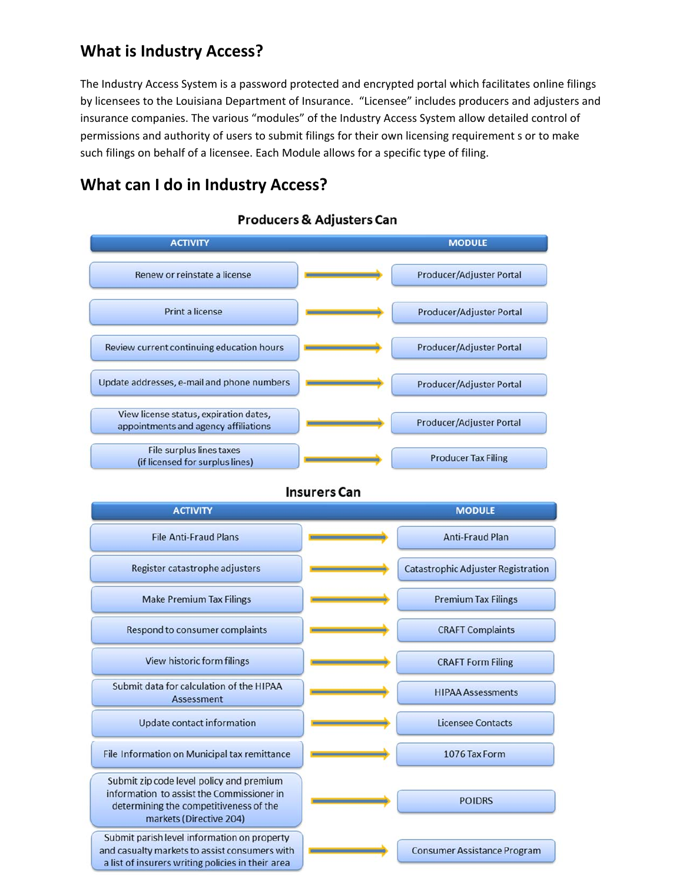## **What is Industry Access?**

The Industry Access System is a password protected and encrypted portal which facilitates online filings by licensees to the Louisiana Department of Insurance. "Licensee" includes producers and adjusters and insurance companies. The various "modules" of the Industry Access System allow detailed control of permissions and authority of users to submit filings for their own licensing requirement s or to make such filings on behalf of a licensee. Each Module allows for a specific type of filing.

## **What can I do in Industry Access?**



Producers & Adjusters Can

**Insurers Can** 

| <b>ACTIVITY</b>                                                                                                                                            | <b>MODULE</b>                             |
|------------------------------------------------------------------------------------------------------------------------------------------------------------|-------------------------------------------|
| <b>File Anti-Fraud Plans</b>                                                                                                                               | <b>Anti-Fraud Plan</b>                    |
| Register catastrophe adjusters                                                                                                                             | <b>Catastrophic Adjuster Registration</b> |
| <b>Make Premium Tax Filings</b>                                                                                                                            | <b>Premium Tax Filings</b>                |
| Respond to consumer complaints                                                                                                                             | <b>CRAFT Complaints</b>                   |
| View historic form filings                                                                                                                                 | <b>CRAFT Form Filing</b>                  |
| Submit data for calculation of the HIPAA<br><b>Assessment</b>                                                                                              | <b>HIPAA Assessments</b>                  |
| Update contact information                                                                                                                                 | <b>Licensee Contacts</b>                  |
| File Information on Municipal tax remittance                                                                                                               | 1076 Tax Form                             |
| Submit zip code level policy and premium<br>information to assist the Commissioner in<br>determining the competitiveness of the<br>markets (Directive 204) | <b>POIDRS</b>                             |
| Submit parish level information on property<br>and casualty markets to assist consumers with<br>a list of insurers writing policies in their area          | <b>Consumer Assistance Program</b>        |